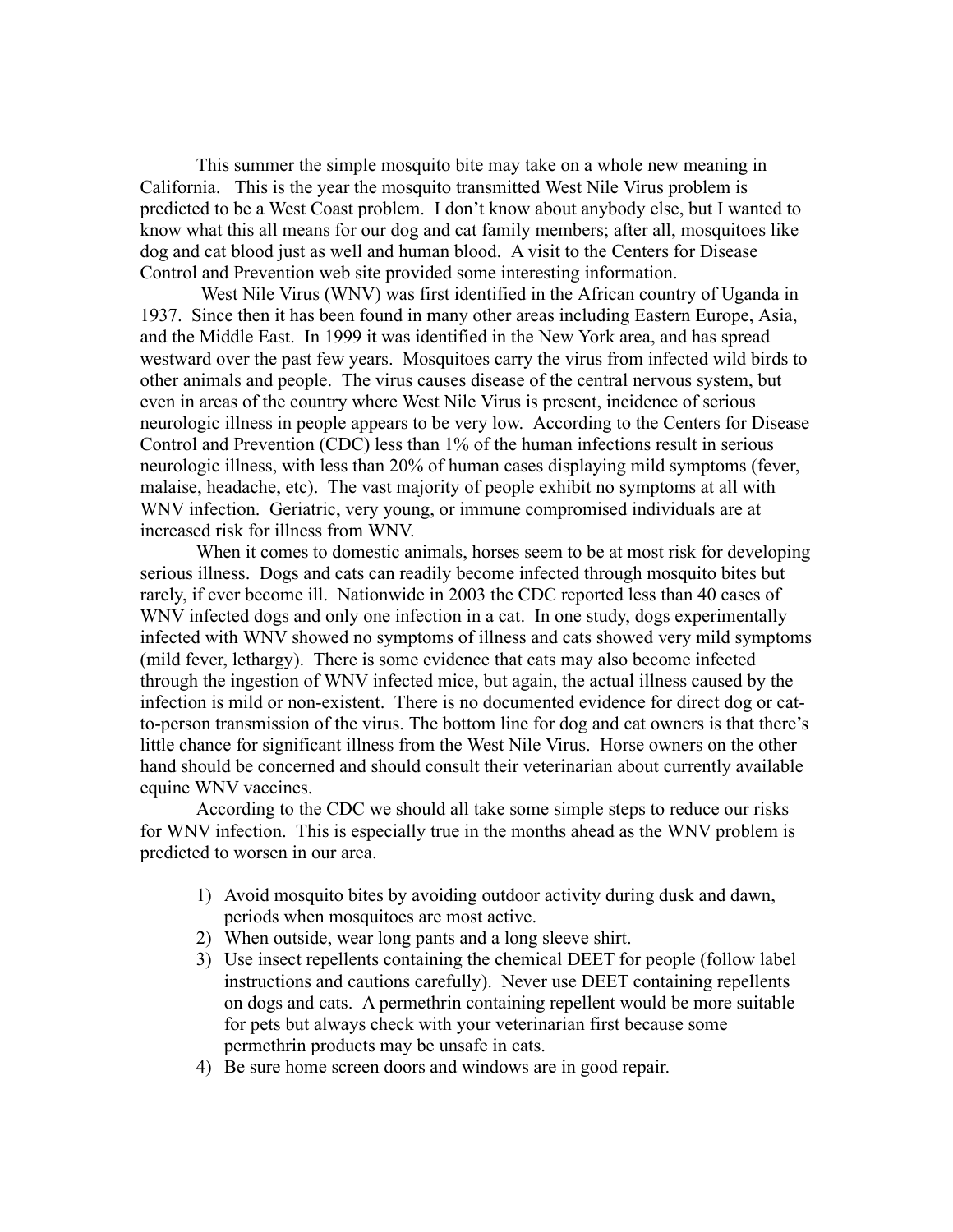This summer the simple mosquito bite may take on a whole new meaning in California. This is the year the mosquito transmitted West Nile Virus problem is predicted to be a West Coast problem. I don't know about anybody else, but I wanted to know what this all means for our dog and cat family members; after all, mosquitoes like dog and cat blood just as well and human blood. A visit to the Centers for Disease Control and Prevention web site provided some interesting information.

 West Nile Virus (WNV) was first identified in the African country of Uganda in 1937. Since then it has been found in many other areas including Eastern Europe, Asia, and the Middle East. In 1999 it was identified in the New York area, and has spread westward over the past few years. Mosquitoes carry the virus from infected wild birds to other animals and people. The virus causes disease of the central nervous system, but even in areas of the country where West Nile Virus is present, incidence of serious neurologic illness in people appears to be very low. According to the Centers for Disease Control and Prevention (CDC) less than 1% of the human infections result in serious neurologic illness, with less than 20% of human cases displaying mild symptoms (fever, malaise, headache, etc). The vast majority of people exhibit no symptoms at all with WNV infection. Geriatric, very young, or immune compromised individuals are at increased risk for illness from WNV.

When it comes to domestic animals, horses seem to be at most risk for developing serious illness. Dogs and cats can readily become infected through mosquito bites but rarely, if ever become ill. Nationwide in 2003 the CDC reported less than 40 cases of WNV infected dogs and only one infection in a cat. In one study, dogs experimentally infected with WNV showed no symptoms of illness and cats showed very mild symptoms (mild fever, lethargy). There is some evidence that cats may also become infected through the ingestion of WNV infected mice, but again, the actual illness caused by the infection is mild or non-existent. There is no documented evidence for direct dog or catto-person transmission of the virus. The bottom line for dog and cat owners is that there's little chance for significant illness from the West Nile Virus. Horse owners on the other hand should be concerned and should consult their veterinarian about currently available equine WNV vaccines.

According to the CDC we should all take some simple steps to reduce our risks for WNV infection. This is especially true in the months ahead as the WNV problem is predicted to worsen in our area.

- 1) Avoid mosquito bites by avoiding outdoor activity during dusk and dawn, periods when mosquitoes are most active.
- 2) When outside, wear long pants and a long sleeve shirt.
- 3) Use insect repellents containing the chemical DEET for people (follow label instructions and cautions carefully). Never use DEET containing repellents on dogs and cats. A permethrin containing repellent would be more suitable for pets but always check with your veterinarian first because some permethrin products may be unsafe in cats.
- 4) Be sure home screen doors and windows are in good repair.